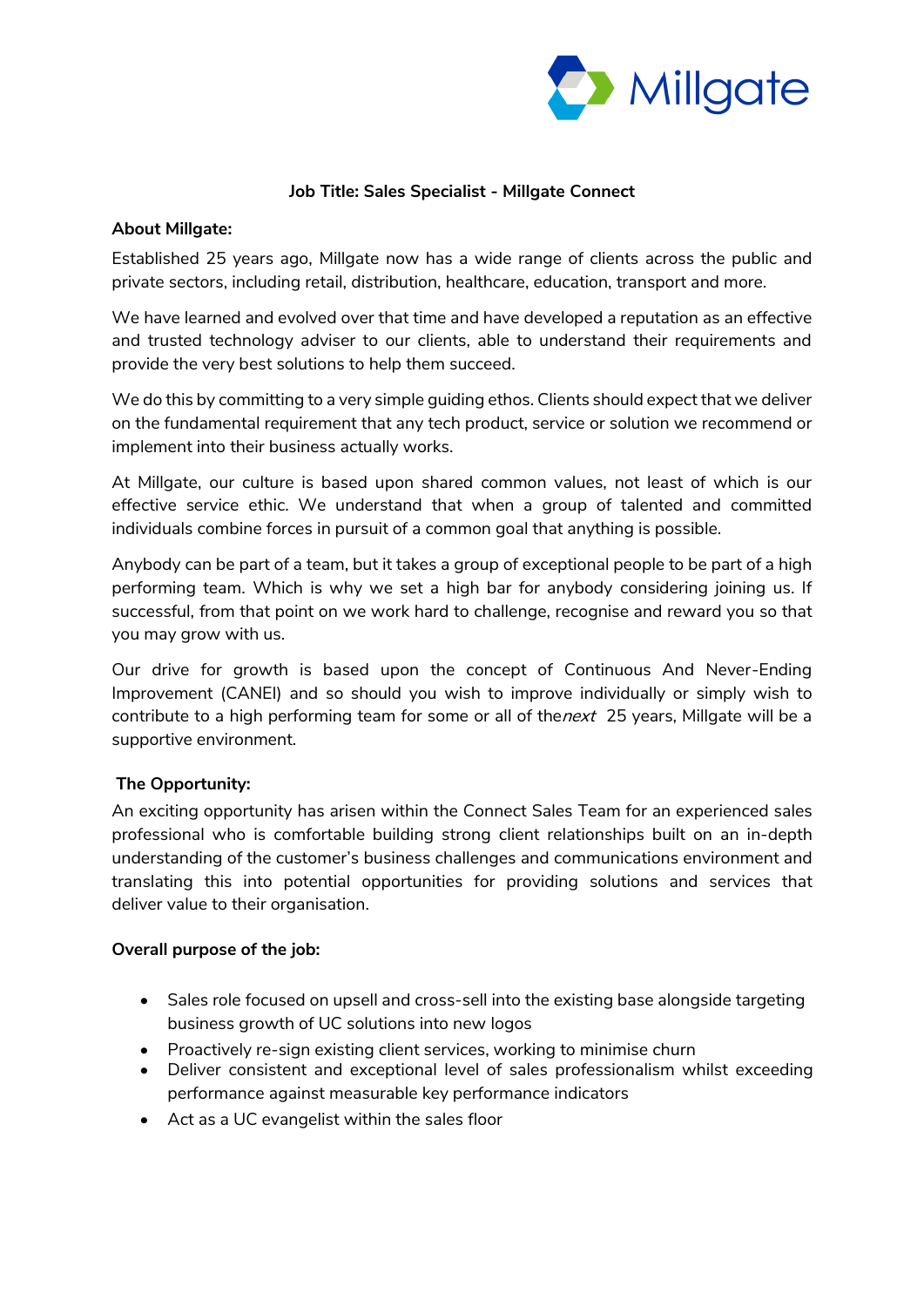

## **Job Title: Sales Specialist - Millgate Connect**

#### **About Millgate:**

Established 25 years ago, Millgate now has a wide range of clients across the public and private sectors, including retail, distribution, healthcare, education, transport and more.

We have learned and evolved over that time and have developed a reputation as an effective and trusted technology adviser to our clients, able to understand their requirements and provide the very best solutions to help them succeed.

We do this by committing to a very simple guiding ethos. Clients should expect that we deliver on the fundamental requirement that any tech product, service or solution we recommend or implement into their business actually works.

At Millgate, our culture is based upon shared common values, not least of which is our effective service ethic. We understand that when a group of talented and committed individuals combine forces in pursuit of a common goal that anything is possible.

Anybody can be part of a team, but it takes a group of exceptional people to be part of a high performing team. Which is why we set a high bar for anybody considering joining us. If successful, from that point on we work hard to challenge, recognise and reward you so that you may grow with us.

Our drive for growth is based upon the concept of Continuous And Never-Ending Improvement (CANEI) and so should you wish to improve individually or simply wish to contribute to a high performing team for some or all of the next 25 years, Millgate will be a supportive environment.

### **The Opportunity:**

An exciting opportunity has arisen within the Connect Sales Team for an experienced sales professional who is comfortable building strong client relationships built on an in-depth understanding of the customer's business challenges and communications environment and translating this into potential opportunities for providing solutions and services that deliver value to their organisation.

### **Overall purpose of the job:**

- Sales role focused on upsell and cross-sell into the existing base alongside targeting business growth of UC solutions into new logos
- Proactively re-sign existing client services, working to minimise churn
- Deliver consistent and exceptional level of sales professionalism whilst exceeding performance against measurable key performance indicators
- Act as a UC evangelist within the sales floor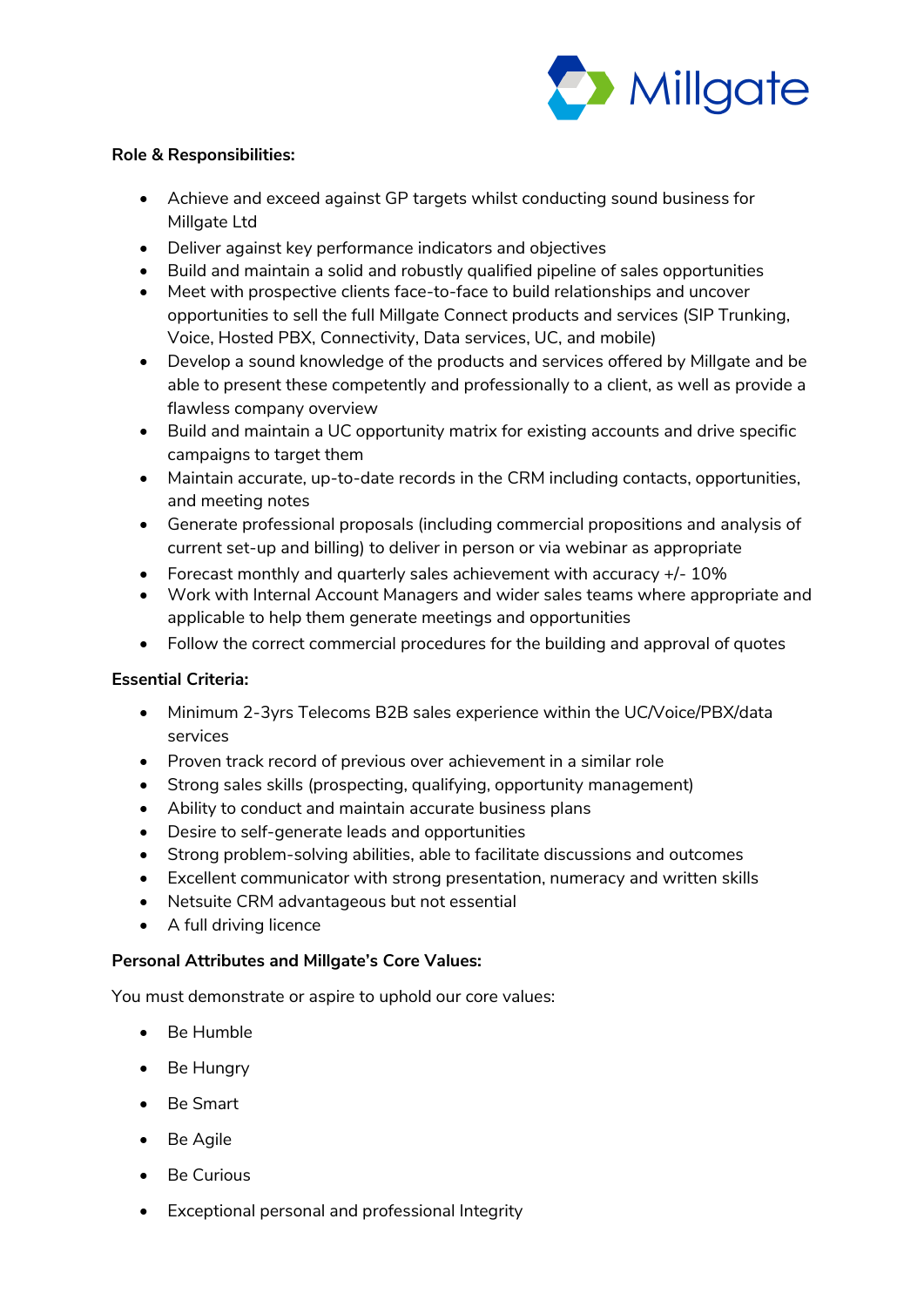

## **Role & Responsibilities:**

- Achieve and exceed against GP targets whilst conducting sound business for Millgate Ltd
- Deliver against key performance indicators and objectives
- Build and maintain a solid and robustly qualified pipeline of sales opportunities
- Meet with prospective clients face-to-face to build relationships and uncover opportunities to sell the full Millgate Connect products and services (SIP Trunking, Voice, Hosted PBX, Connectivity, Data services, UC, and mobile)
- Develop a sound knowledge of the products and services offered by Millgate and be able to present these competently and professionally to a client, as well as provide a flawless company overview
- Build and maintain a UC opportunity matrix for existing accounts and drive specific campaigns to target them
- Maintain accurate, up-to-date records in the CRM including contacts, opportunities, and meeting notes
- Generate professional proposals (including commercial propositions and analysis of current set-up and billing) to deliver in person or via webinar as appropriate
- Forecast monthly and quarterly sales achievement with accuracy +/- 10%
- Work with Internal Account Managers and wider sales teams where appropriate and applicable to help them generate meetings and opportunities
- Follow the correct commercial procedures for the building and approval of quotes

# **Essential Criteria:**

- Minimum 2-3yrs Telecoms B2B sales experience within the UC/Voice/PBX/data services
- Proven track record of previous over achievement in a similar role
- Strong sales skills (prospecting, qualifying, opportunity management)
- Ability to conduct and maintain accurate business plans
- Desire to self-generate leads and opportunities
- Strong problem-solving abilities, able to facilitate discussions and outcomes
- Excellent communicator with strong presentation, numeracy and written skills
- Netsuite CRM advantageous but not essential
- A full driving licence

# **Personal Attributes and Millgate's Core Values:**

You must demonstrate or aspire to uphold our core values:

- Be Humble
- Be Hungry
- Be Smart
- Be Agile
- Be Curious
- Exceptional personal and professional Integrity